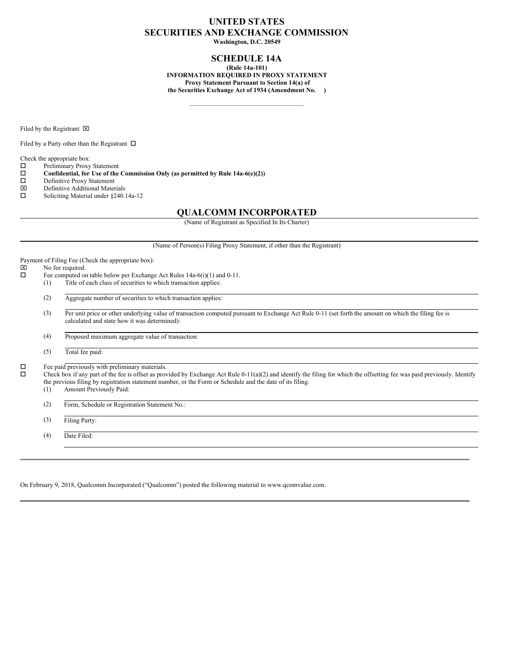### **UNITED STATES SECURITIES AND EXCHANGE COMMISSION**

**Washington, D.C. 20549**

#### **SCHEDULE 14A**

**(Rule 14a-101) INFORMATION REQUIRED IN PROXY STATEMENT Proxy Statement Pursuant to Section 14(a) of the Securities Exchange Act of 1934 (Amendment No. )**

Filed by the Registrant  $\boxtimes$ 

Filed by a Party other than the Registrant  $\Box$ 

Check the appropriate box:

 $\square$  Preliminary Proxy Statement<br> $\square$  Confidential, for Use of the

**Confidential, for** Use of the Commission Only (as permitted by Rule 14a-6(e)(2)) Definitive Proxy Statement

- □ Definitive Proxy Statement<br> **図** Definitive Additional Mater
- $\boxtimes$  Definitive Additional Materials<br> $\square$  Soliciting Material under \$240.
- Soliciting Material under §240.14a-12

#### **QUALCOMM INCORPORATED**

(Name of Registrant as Specified In Its Charter)

(Name of Person(s) Filing Proxy Statement, if other than the Registrant) Payment of Filing Fee (Check the appropriate box):<br> $\boxtimes$  No fee required.  $\boxtimes$  No fee required.<br> $\Box$  Fee computed or Fee computed on table below per Exchange Act Rules 14a-6(i)(1) and 0-11. (1) Title of each class of securities to which transaction applies: (2) Aggregate number of securities to which transaction applies: (3) Per unit price or other underlying value of transaction computed pursuant to Exchange Act Rule 0-11 (set forth the amount on which the filing fee is calculated and state how it was determined): (4) Proposed maximum aggregate value of transaction: (5) Total fee paid:  $\square$  Fee paid previously with preliminary materials.<br> $\square$  Check box if any part of the fee is offset as prov o Check box if any part of the fee is offset as provided by Exchange Act Rule 0-11(a)(2) and identify the filing for which the offsetting fee was paid previously. Identify the previous filing by registration statement number, or the Form or Schedule and the date of its filing.<br>(1) Amount Previously Paid: Amount Previously Paid: (2) Form, Schedule or Registration Statement No.: (3) Filing Party: (4) Date Filed:

On February 9, 2018, Qualcomm Incorporated ("Qualcomm") posted the following material to www.qcomvalue.com.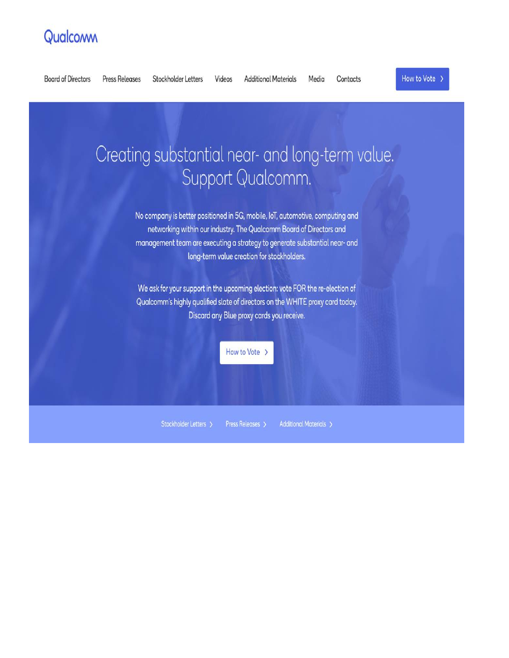# Qualcoww



Stockholder Letters > Press Releases > **Additional Materials >**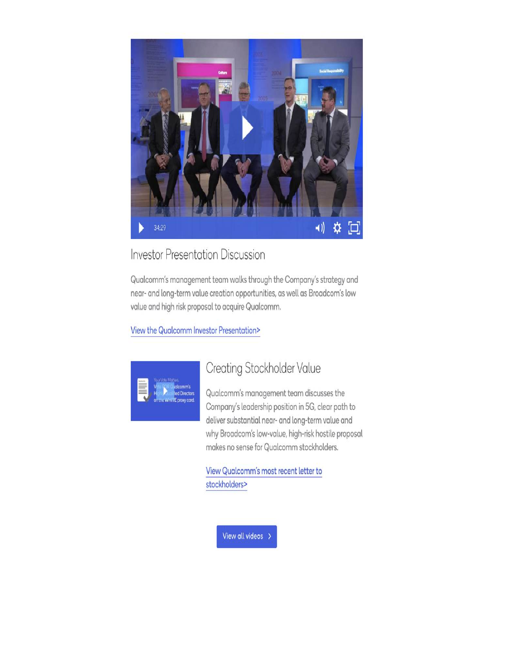

## **Investor Presentation Discussion**

Qualcomm's management team walks through the Company's strategy and near- and long-term value creation opportunities, as well as Broadcom's low value and high risk proposal to acquire Qualcomm.

View the Qualcomm Investor Presentation>



## Creating Stockholder Value

Qualcomm's management team discusses the Company's leadership position in 5G, clear path to deliver substantial near- and long-term value and why Broadcom's low-value, high-risk hostile proposal makes no sense for Qualcomm stockholders.

View Qualcomm's most recent letter to stockholders>

View all videos >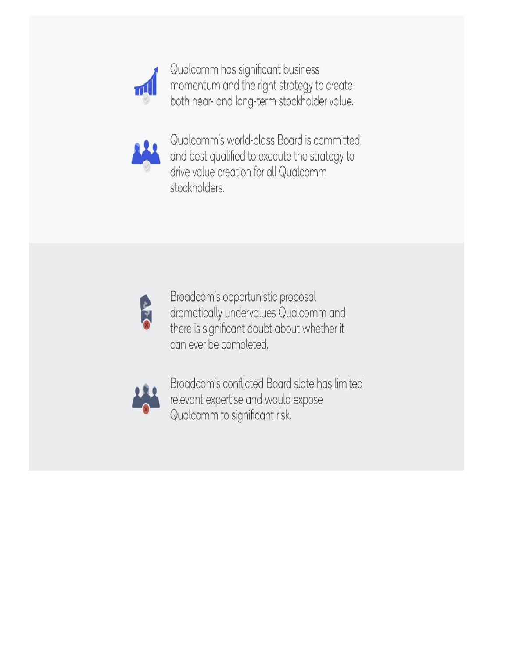

Qualcomm has significant business momentum and the right strategy to create both near- and long-term stockholder value.



Qualcomm's world-class Board is committed and best qualified to execute the strategy to drive value creation for all Qualcomm stockholders.



Broadcom's opportunistic proposal dramatically undervalues Qualcomm and there is significant doubt about whether it can ever be completed.



Broadcom's conflicted Board slate has limited relevant expertise and would expose Qualcomm to significant risk.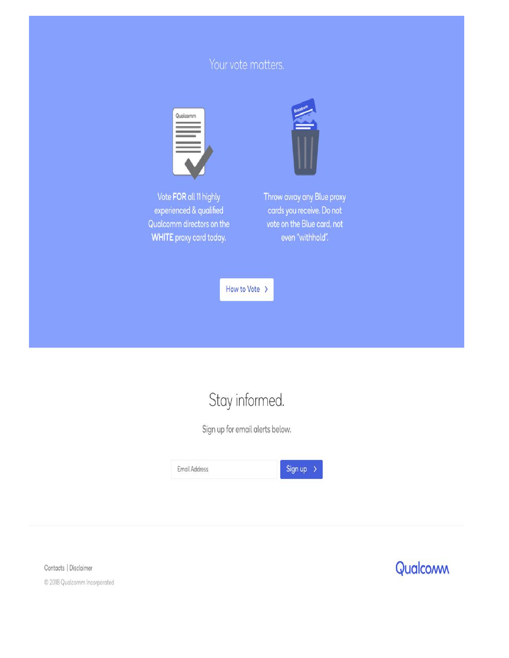## Your vote matters.





Throw away any Blue proxy cards you receive. Do not vote on the Blue card, not even "withhold".

How to Vote >

# Stay informed.

Sign up for email alerts below.



Contacts | Disclaimer © 2018 Qualcomm Incorporated

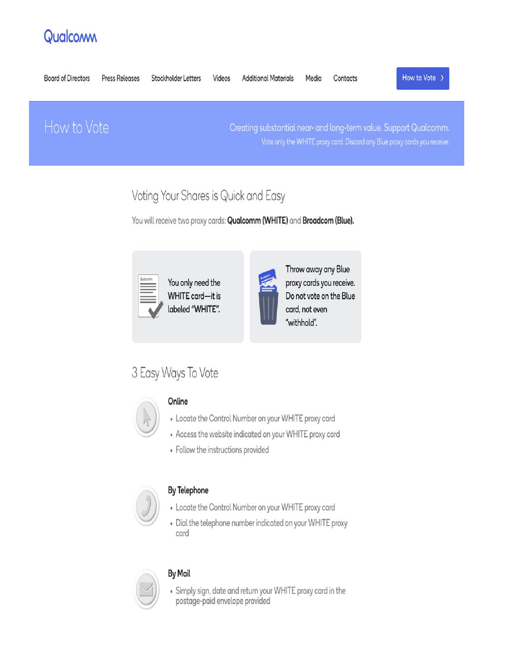# Qualcomm



## Voting Your Shares is Quick and Easy

You will receive two proxy cards: Qualcomm (WHITE) and Broadcom (Blue).

You only need the **WHITE** card-it is labeled "WHITE".



Throw away any Blue proxy cards you receive. Do not vote on the Blue card, not even "withhold".

## 3 Easy Ways To Vote



## Online

- Locate the Control Number on your WHITE proxy card
- Access the website indicated on your WHITE proxy card
- Follow the instructions provided



## **By Telephone**

- Locate the Control Number on your WHITE proxy card
- Dial the telephone number indicated on your WHITE proxy card



## **By Mail**

• Simply sign, date and return your WHITE proxy card in the postage-paid envelope provided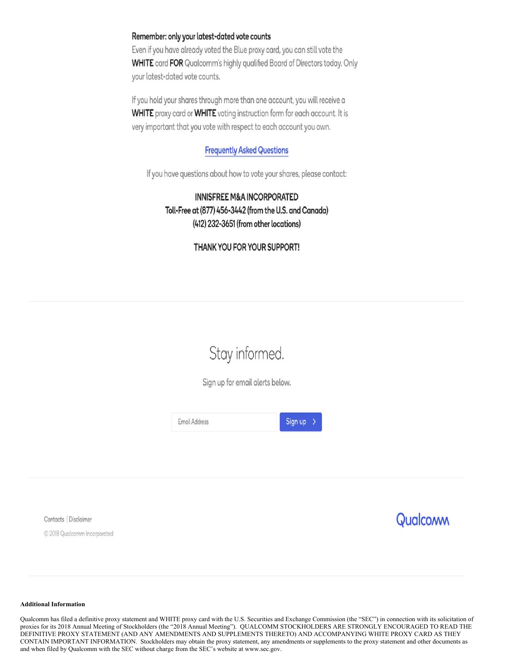### Remember: only your latest-dated vote counts

Even if you have already voted the Blue proxy card, you can still vote the WHITE card FOR Qualcomm's highly qualified Board of Directors today. Only your latest-dated vote counts.

If you hold your shares through more than one account, you will receive a **WHITE** proxy card or **WHITE** voting instruction form for each account. It is very important that you vote with respect to each account you own.

### **Frequently Asked Questions**

If you have questions about how to vote your shares, please contact:

## **INNISFREE M&A INCORPORATED** Toll-Free at (877) 456-3442 (from the U.S. and Canada) (412) 232-3651 (from other locations)

### THANK YOU FOR YOUR SUPPORT!

# Stay informed.

Sign up for email alerts below.



Contacts | Disclaimer

© 2018 Qualcomm Incorporated



#### **Additional Information**

Qualcomm has filed a definitive proxy statement and WHITE proxy card with the U.S. Securities and Exchange Commission (the "SEC") in connection with its solicitation of proxies for its 2018 Annual Meeting of Stockholders (the "2018 Annual Meeting"). QUALCOMM STOCKHOLDERS ARE STRONGLY ENCOURAGED TO READ THE DEFINITIVE PROXY STATEMENT (AND ANY AMENDMENTS AND SUPPLEMENTS THERETO) AND ACCOMPANYING WHITE PROXY CARD AS THEY CONTAIN IMPORTANT INFORMATION. Stockholders may obtain the proxy statement, any amendments or supplements to the proxy statement and other documents as and when filed by Qualcomm with the SEC without charge from the SEC's website at www.sec.gov.